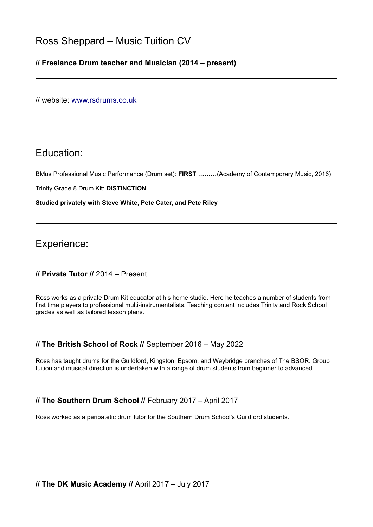# Ross Sheppard – Music Tuition CV

## **// Freelance Drum teacher and Musician (2014 – present)**

// website: [www.rsdrums.co.uk](http://www.rsdrums.co.uk/)

# Education:

BMus Professional Music Performance (Drum set): **FIRST ………**(Academy of Contemporary Music, 2016)

Trinity Grade 8 Drum Kit: **DISTINCTION** 

**Studied privately with Steve White, Pete Cater, and Pete Riley**

Experience:

## **// Private Tutor //** 2014 – Present

Ross works as a private Drum Kit educator at his home studio. Here he teaches a number of students from first time players to professional multi-instrumentalists. Teaching content includes Trinity and Rock School grades as well as tailored lesson plans.

### **// The British School of Rock //** September 2016 – May 2022

Ross has taught drums for the Guildford, Kingston, Epsom, and Weybridge branches of The BSOR. Group tuition and musical direction is undertaken with a range of drum students from beginner to advanced.

### **// The Southern Drum School //** February 2017 – April 2017

Ross worked as a peripatetic drum tutor for the Southern Drum School's Guildford students.